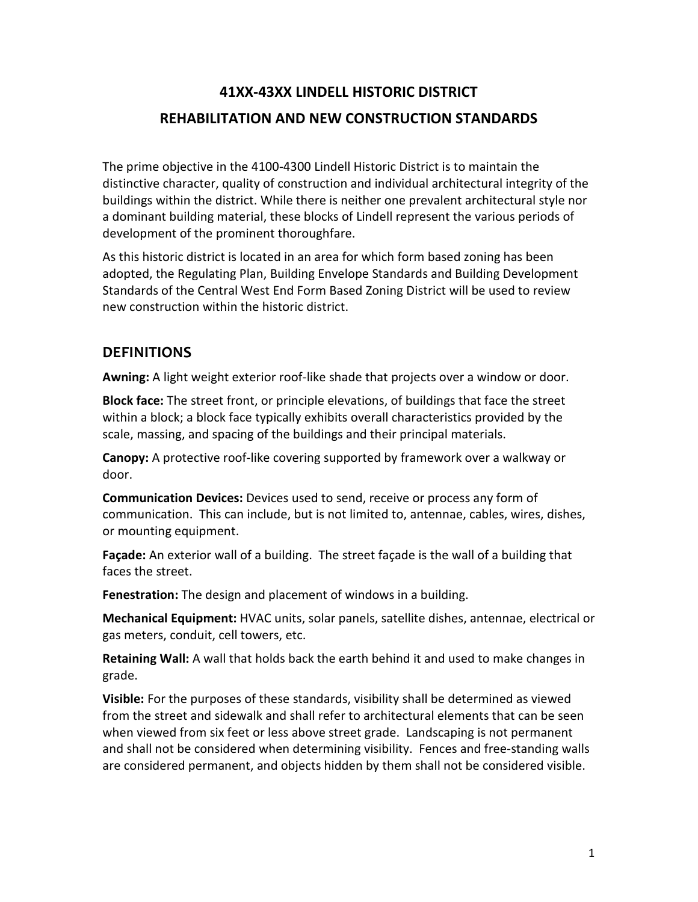# **41XX-43XX LINDELL HISTORIC DISTRICT REHABILITATION AND NEW CONSTRUCTION STANDARDS**

The prime objective in the 4100-4300 Lindell Historic District is to maintain the distinctive character, quality of construction and individual architectural integrity of the buildings within the district. While there is neither one prevalent architectural style nor a dominant building material, these blocks of Lindell represent the various periods of development of the prominent thoroughfare.

As this historic district is located in an area for which form based zoning has been adopted, the Regulating Plan, Building Envelope Standards and Building Development Standards of the Central West End Form Based Zoning District will be used to review new construction within the historic district.

## **DEFINITIONS**

**Awning:** A light weight exterior roof-like shade that projects over a window or door.

**Block face:** The street front, or principle elevations, of buildings that face the street within a block; a block face typically exhibits overall characteristics provided by the scale, massing, and spacing of the buildings and their principal materials.

**Canopy:** A protective roof-like covering supported by framework over a walkway or door.

**Communication Devices:** Devices used to send, receive or process any form of communication. This can include, but is not limited to, antennae, cables, wires, dishes, or mounting equipment.

**Façade:** An exterior wall of a building. The street façade is the wall of a building that faces the street.

**Fenestration:** The design and placement of windows in a building.

**Mechanical Equipment:** HVAC units, solar panels, satellite dishes, antennae, electrical or gas meters, conduit, cell towers, etc.

**Retaining Wall:** A wall that holds back the earth behind it and used to make changes in grade.

**Visible:** For the purposes of these standards, visibility shall be determined as viewed from the street and sidewalk and shall refer to architectural elements that can be seen when viewed from six feet or less above street grade. Landscaping is not permanent and shall not be considered when determining visibility. Fences and free-standing walls are considered permanent, and objects hidden by them shall not be considered visible.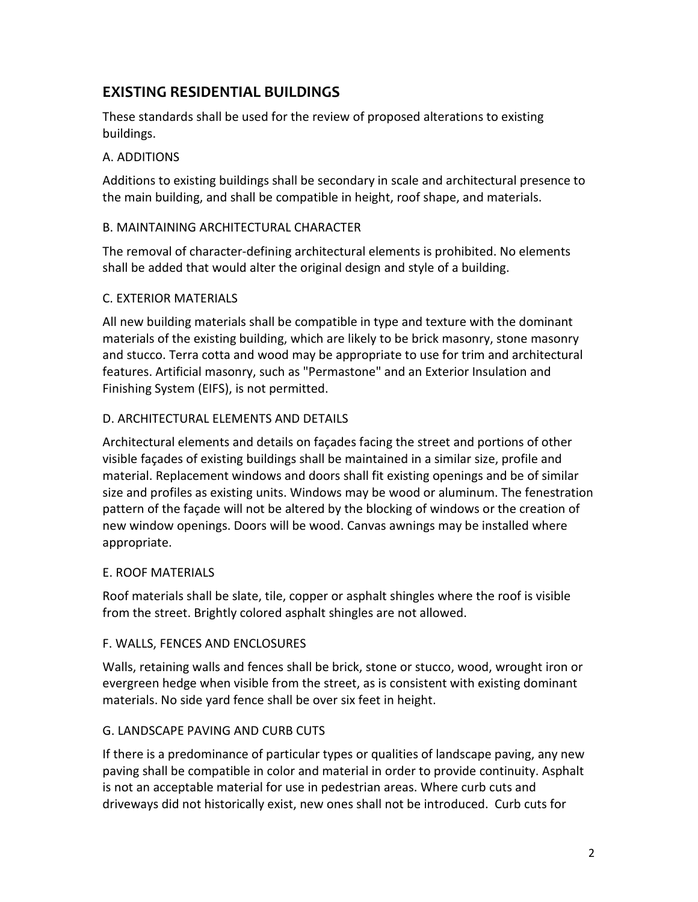## **EXISTING RESIDENTIAL BUILDINGS**

These standards shall be used for the review of proposed alterations to existing buildings.

### A. ADDITIONS

Additions to existing buildings shall be secondary in scale and architectural presence to the main building, and shall be compatible in height, roof shape, and materials.

### B. MAINTAINING ARCHITECTURAL CHARACTER

The removal of character-defining architectural elements is prohibited. No elements shall be added that would alter the original design and style of a building.

### C. EXTERIOR MATERIALS

All new building materials shall be compatible in type and texture with the dominant materials of the existing building, which are likely to be brick masonry, stone masonry and stucco. Terra cotta and wood may be appropriate to use for trim and architectural features. Artificial masonry, such as "Permastone" and an Exterior Insulation and Finishing System (EIFS), is not permitted.

### D. ARCHITECTURAL ELEMENTS AND DETAILS

Architectural elements and details on façades facing the street and portions of other visible façades of existing buildings shall be maintained in a similar size, profile and material. Replacement windows and doors shall fit existing openings and be of similar size and profiles as existing units. Windows may be wood or aluminum. The fenestration pattern of the façade will not be altered by the blocking of windows or the creation of new window openings. Doors will be wood. Canvas awnings may be installed where appropriate.

#### E. ROOF MATERIALS

Roof materials shall be slate, tile, copper or asphalt shingles where the roof is visible from the street. Brightly colored asphalt shingles are not allowed.

#### F. WALLS, FENCES AND ENCLOSURES

Walls, retaining walls and fences shall be brick, stone or stucco, wood, wrought iron or evergreen hedge when visible from the street, as is consistent with existing dominant materials. No side yard fence shall be over six feet in height.

### G. LANDSCAPE PAVING AND CURB CUTS

If there is a predominance of particular types or qualities of landscape paving, any new paving shall be compatible in color and material in order to provide continuity. Asphalt is not an acceptable material for use in pedestrian areas. Where curb cuts and driveways did not historically exist, new ones shall not be introduced. Curb cuts for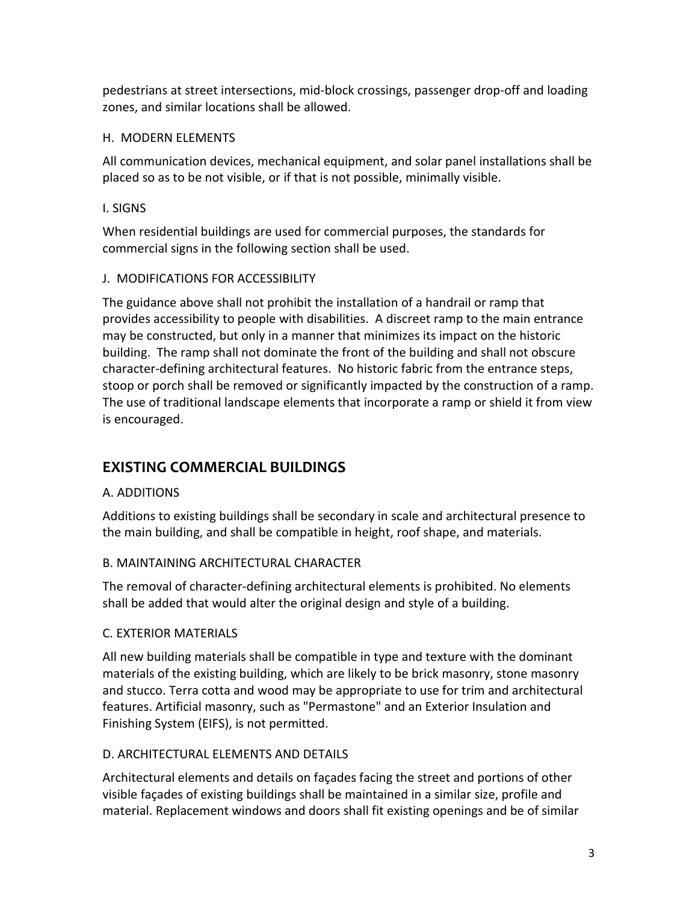pedestrians at street intersections, mid-block crossings, passenger drop-off and loading zones, and similar locations shall be allowed.

### H. MODERN ELEMENTS

All communication devices, mechanical equipment, and solar panel installations shall be placed so as to be not visible, or if that is not possible, minimally visible.

### I. SIGNS

When residential buildings are used for commercial purposes, the standards for commercial signs in the following section shall be used.

## J. MODIFICATIONS FOR ACCESSIBILITY

The guidance above shall not prohibit the installation of a handrail or ramp that provides accessibility to people with disabilities. A discreet ramp to the main entrance may be constructed, but only in a manner that minimizes its impact on the historic building. The ramp shall not dominate the front of the building and shall not obscure character-defining architectural features. No historic fabric from the entrance steps, stoop or porch shall be removed or significantly impacted by the construction of a ramp. The use of traditional landscape elements that incorporate a ramp or shield it from view is encouraged.

## **EXISTING COMMERCIAL BUILDINGS**

## A. ADDITIONS

Additions to existing buildings shall be secondary in scale and architectural presence to the main building, and shall be compatible in height, roof shape, and materials.

## B. MAINTAINING ARCHITECTURAL CHARACTER

The removal of character-defining architectural elements is prohibited. No elements shall be added that would alter the original design and style of a building.

## C. EXTERIOR MATERIALS

All new building materials shall be compatible in type and texture with the dominant materials of the existing building, which are likely to be brick masonry, stone masonry and stucco. Terra cotta and wood may be appropriate to use for trim and architectural features. Artificial masonry, such as "Permastone" and an Exterior Insulation and Finishing System (EIFS), is not permitted.

## D. ARCHITECTURAL ELEMENTS AND DETAILS

Architectural elements and details on façades facing the street and portions of other visible façades of existing buildings shall be maintained in a similar size, profile and material. Replacement windows and doors shall fit existing openings and be of similar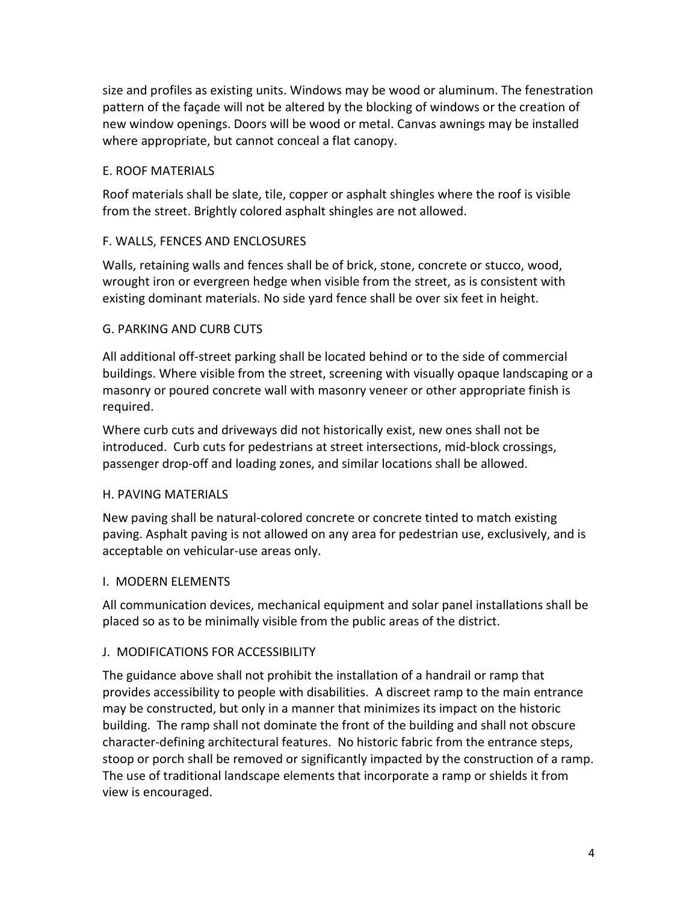size and profiles as existing units. Windows may be wood or aluminum. The fenestration pattern of the façade will not be altered by the blocking of windows or the creation of new window openings. Doors will be wood or metal. Canvas awnings may be installed where appropriate, but cannot conceal a flat canopy.

### E. ROOF MATERIALS

Roof materials shall be slate, tile, copper or asphalt shingles where the roof is visible from the street. Brightly colored asphalt shingles are not allowed.

### F. WALLS, FENCES AND ENCLOSURES

Walls, retaining walls and fences shall be of brick, stone, concrete or stucco, wood, wrought iron or evergreen hedge when visible from the street, as is consistent with existing dominant materials. No side yard fence shall be over six feet in height.

### G. PARKING AND CURB CUTS

All additional off-street parking shall be located behind or to the side of commercial buildings. Where visible from the street, screening with visually opaque landscaping or a masonry or poured concrete wall with masonry veneer or other appropriate finish is required.

Where curb cuts and driveways did not historically exist, new ones shall not be introduced. Curb cuts for pedestrians at street intersections, mid-block crossings, passenger drop-off and loading zones, and similar locations shall be allowed.

### H. PAVING MATERIALS

New paving shall be natural-colored concrete or concrete tinted to match existing paving. Asphalt paving is not allowed on any area for pedestrian use, exclusively, and is acceptable on vehicular-use areas only.

### I. MODERN ELEMENTS

All communication devices, mechanical equipment and solar panel installations shall be placed so as to be minimally visible from the public areas of the district.

### J. MODIFICATIONS FOR ACCESSIBILITY

The guidance above shall not prohibit the installation of a handrail or ramp that provides accessibility to people with disabilities. A discreet ramp to the main entrance may be constructed, but only in a manner that minimizes its impact on the historic building. The ramp shall not dominate the front of the building and shall not obscure character-defining architectural features. No historic fabric from the entrance steps, stoop or porch shall be removed or significantly impacted by the construction of a ramp. The use of traditional landscape elements that incorporate a ramp or shields it from view is encouraged.